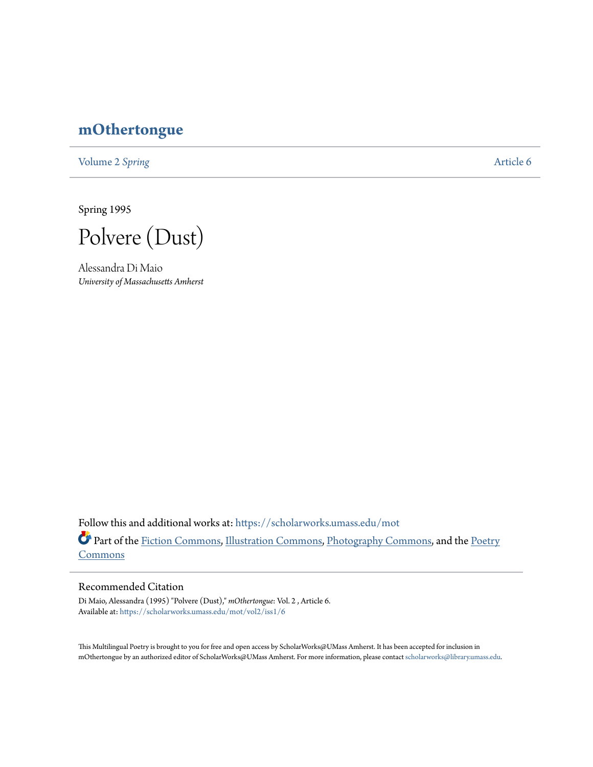# **[mOthertongue](https://scholarworks.umass.edu/mot?utm_source=scholarworks.umass.edu%2Fmot%2Fvol2%2Fiss1%2F6&utm_medium=PDF&utm_campaign=PDFCoverPages)**

[Volume 2](https://scholarworks.umass.edu/mot/vol2?utm_source=scholarworks.umass.edu%2Fmot%2Fvol2%2Fiss1%2F6&utm_medium=PDF&utm_campaign=PDFCoverPages) Spring [Article 6](https://scholarworks.umass.edu/mot/vol2/iss1/6?utm_source=scholarworks.umass.edu%2Fmot%2Fvol2%2Fiss1%2F6&utm_medium=PDF&utm_campaign=PDFCoverPages)

Spring 1995

Polvere (Dust)

Alessandra Di Maio *University of Massachusetts Amherst*

Follow this and additional works at: [https://scholarworks.umass.edu/mot](https://scholarworks.umass.edu/mot?utm_source=scholarworks.umass.edu%2Fmot%2Fvol2%2Fiss1%2F6&utm_medium=PDF&utm_campaign=PDFCoverPages) Part of the [Fiction Commons](http://network.bepress.com/hgg/discipline/1151?utm_source=scholarworks.umass.edu%2Fmot%2Fvol2%2Fiss1%2F6&utm_medium=PDF&utm_campaign=PDFCoverPages), [Illustration Commons,](http://network.bepress.com/hgg/discipline/1135?utm_source=scholarworks.umass.edu%2Fmot%2Fvol2%2Fiss1%2F6&utm_medium=PDF&utm_campaign=PDFCoverPages) [Photography Commons,](http://network.bepress.com/hgg/discipline/1142?utm_source=scholarworks.umass.edu%2Fmot%2Fvol2%2Fiss1%2F6&utm_medium=PDF&utm_campaign=PDFCoverPages) and the [Poetry](http://network.bepress.com/hgg/discipline/1153?utm_source=scholarworks.umass.edu%2Fmot%2Fvol2%2Fiss1%2F6&utm_medium=PDF&utm_campaign=PDFCoverPages) **[Commons](http://network.bepress.com/hgg/discipline/1153?utm_source=scholarworks.umass.edu%2Fmot%2Fvol2%2Fiss1%2F6&utm_medium=PDF&utm_campaign=PDFCoverPages)** 

### Recommended Citation

Di Maio, Alessandra (1995) "Polvere (Dust)," *mOthertongue*: Vol. 2 , Article 6. Available at: [https://scholarworks.umass.edu/mot/vol2/iss1/6](https://scholarworks.umass.edu/mot/vol2/iss1/6?utm_source=scholarworks.umass.edu%2Fmot%2Fvol2%2Fiss1%2F6&utm_medium=PDF&utm_campaign=PDFCoverPages)

This Multilingual Poetry is brought to you for free and open access by ScholarWorks@UMass Amherst. It has been accepted for inclusion in mOthertongue by an authorized editor of ScholarWorks@UMass Amherst. For more information, please contact [scholarworks@library.umass.edu](mailto:scholarworks@library.umass.edu).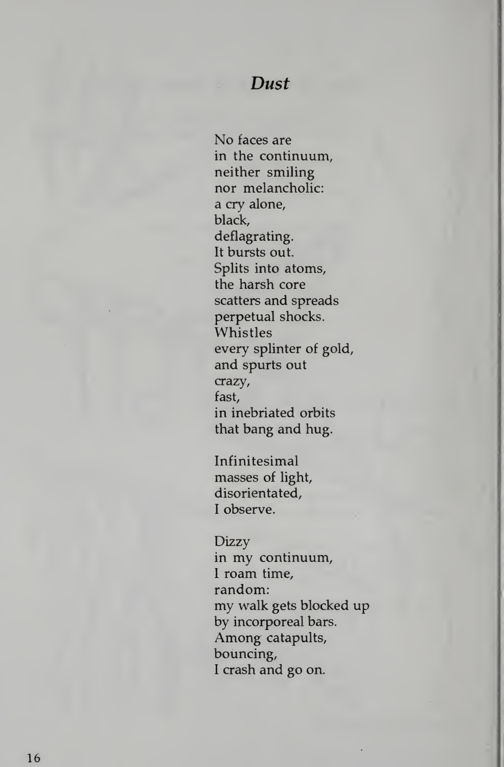### Dust

No faces are in the continuum, neither smiling nor melancholic: a cry alone, black, deflagrating. It bursts out. Splits into atoms, the harsh core scatters and spreads perpetual shocks. Whistles every splinter of gold, and spurts out crazy, fast, in inebriated orbits that bang and hug.

Infinitesimal masses of light, disorientated, <sup>I</sup> observe.

#### Dizzy

in my continuum, <sup>I</sup> roam time, random: my walk gets blocked up by incorporeal bars. Among catapults, bouncing, <sup>I</sup> crash and go on.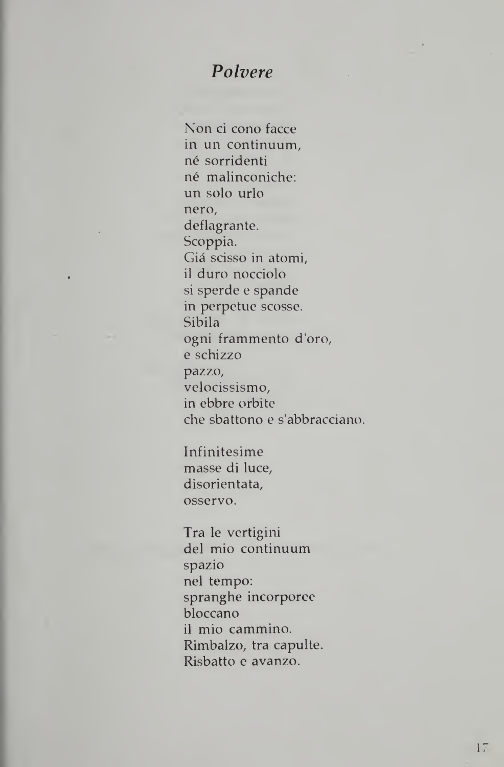## Polvere

Non ci cono facce in un continuum, né sorridenti né malinconiche: un solo urlo nero, deflagrante. Scoppia. Gia scisso in atomi, il duro nocciolo si sperde e spande in perpetue scosse. Sibila ogni frammento d'oro, e schizzo pazzo, velocissismo, in ebbre orbitc che sbattono e s'abbracciano.

Infinitesime masse di luce, disorientata, osservo.

Tra le vertigini del mio continuum spazio nel tempo: spranghe incorporee bloccano il mio cammino. Rimbalzo, tra capulte. Risbatto e avanzo.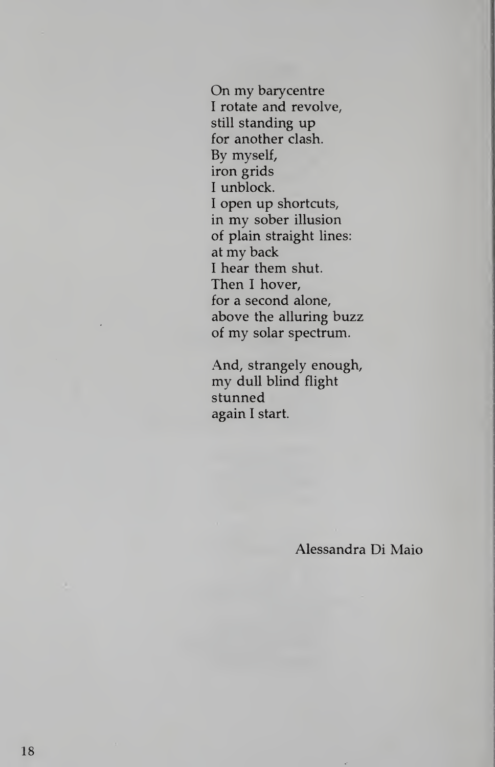On my barycentre <sup>I</sup> rotate and revolve, still standing up for another clash. By myself, iron grids <sup>I</sup> unblock. <sup>I</sup> open up shortcuts, in my sober illusion of plain straight lines: at my back <sup>I</sup> hear them shut. Then <sup>I</sup> hover, for a second alone, above the alluring buzz of my solar spectrum.

And, strangely enough, my dull blind flight stunned again <sup>I</sup> start.

Alessandra Di Maio